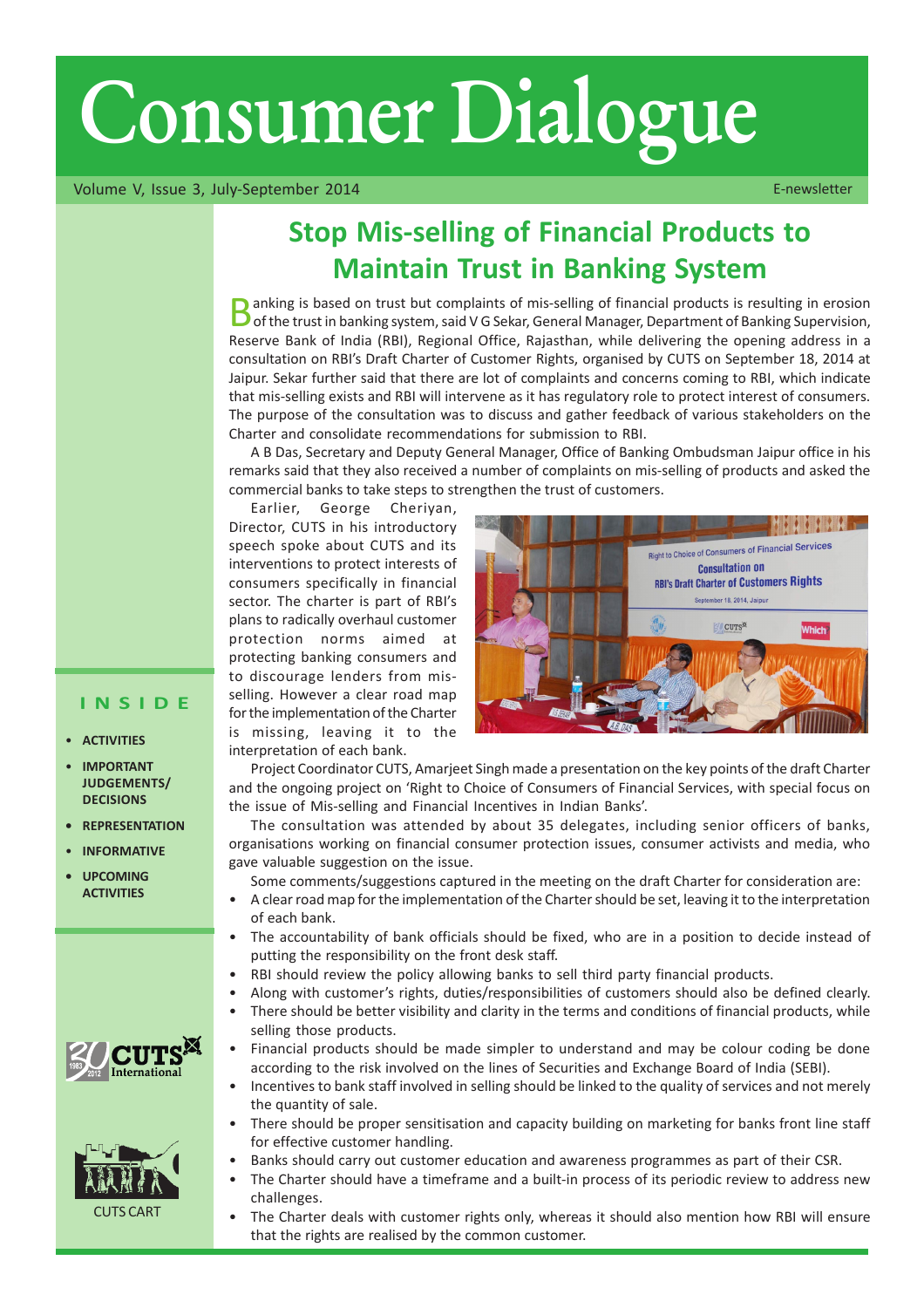# Consumer Dialogue

Volume V, Issue 3, July-September 2014 **E-newsletter** Communication of the E-newsletter

## Stop Mis-selling of Financial Products to Maintain Trust in Banking System

**D** anking is based on trust but complaints of mis-selling of financial products is resulting in erosion<br>O of the trust in banking system, said V G Sekar, General Manager, Department of Banking Supervision, Reserve Bank of India (RBI), Regional Office, Rajasthan, while delivering the opening address in a consultation on RBIís Draft Charter of Customer Rights, organised by CUTS on September 18, 2014 at Jaipur. Sekar further said that there are lot of complaints and concerns coming to RBI, which indicate that mis-selling exists and RBI will intervene as it has regulatory role to protect interest of consumers. The purpose of the consultation was to discuss and gather feedback of various stakeholders on the Charter and consolidate recommendations for submission to RBI.

A B Das, Secretary and Deputy General Manager, Office of Banking Ombudsman Jaipur office in his remarks said that they also received a number of complaints on mis-selling of products and asked the commercial banks to take steps to strengthen the trust of customers.

Earlier, George Cheriyan, Director, CUTS in his introductory speech spoke about CUTS and its interventions to protect interests of consumers specifically in financial sector. The charter is part of RBI's plans to radically overhaul customer protection norms aimed at protecting banking consumers and to discourage lenders from misselling. However a clear road map for the implementation of the Charter is missing, leaving it to the interpretation of each bank.



Project Coordinator CUTS, Amarjeet Singh made a presentation on the key points of the draft Charter and the ongoing project on 'Right to Choice of Consumers of Financial Services, with special focus on the issue of Mis-selling and Financial Incentives in Indian Banks'.

The consultation was attended by about 35 delegates, including senior officers of banks, organisations working on financial consumer protection issues, consumer activists and media, who gave valuable suggestion on the issue.

Some comments/suggestions captured in the meeting on the draft Charter for consideration are:

- A clear road map for the implementation of the Charter should be set, leaving it to the interpretation of each bank.
- The accountability of bank officials should be fixed, who are in a position to decide instead of putting the responsibility on the front desk staff.
- RBI should review the policy allowing banks to sell third party financial products.
- Along with customer's rights, duties/responsibilities of customers should also be defined clearly.
- There should be better visibility and clarity in the terms and conditions of financial products, while selling those products.
- Financial products should be made simpler to understand and may be colour coding be done according to the risk involved on the lines of Securities and Exchange Board of India (SEBI).
- Incentives to bank staff involved in selling should be linked to the quality of services and not merely the quantity of sale.
- There should be proper sensitisation and capacity building on marketing for banks front line staff for effective customer handling.
- Banks should carry out customer education and awareness programmes as part of their CSR.
	- The Charter should have a timeframe and a built-in process of its periodic review to address new challenges.
- The Charter deals with customer rights only, whereas it should also mention how RBI will ensure that the rights are realised by the common customer.

#### INSIDE

- **ACTIVITIES**
- **IMPORTANT** JUDGEMENTS/ **DECISIONS**
- **REPRESENTATION**
- **INFORMATIVE**
- **UPCOMING ACTIVITIES**



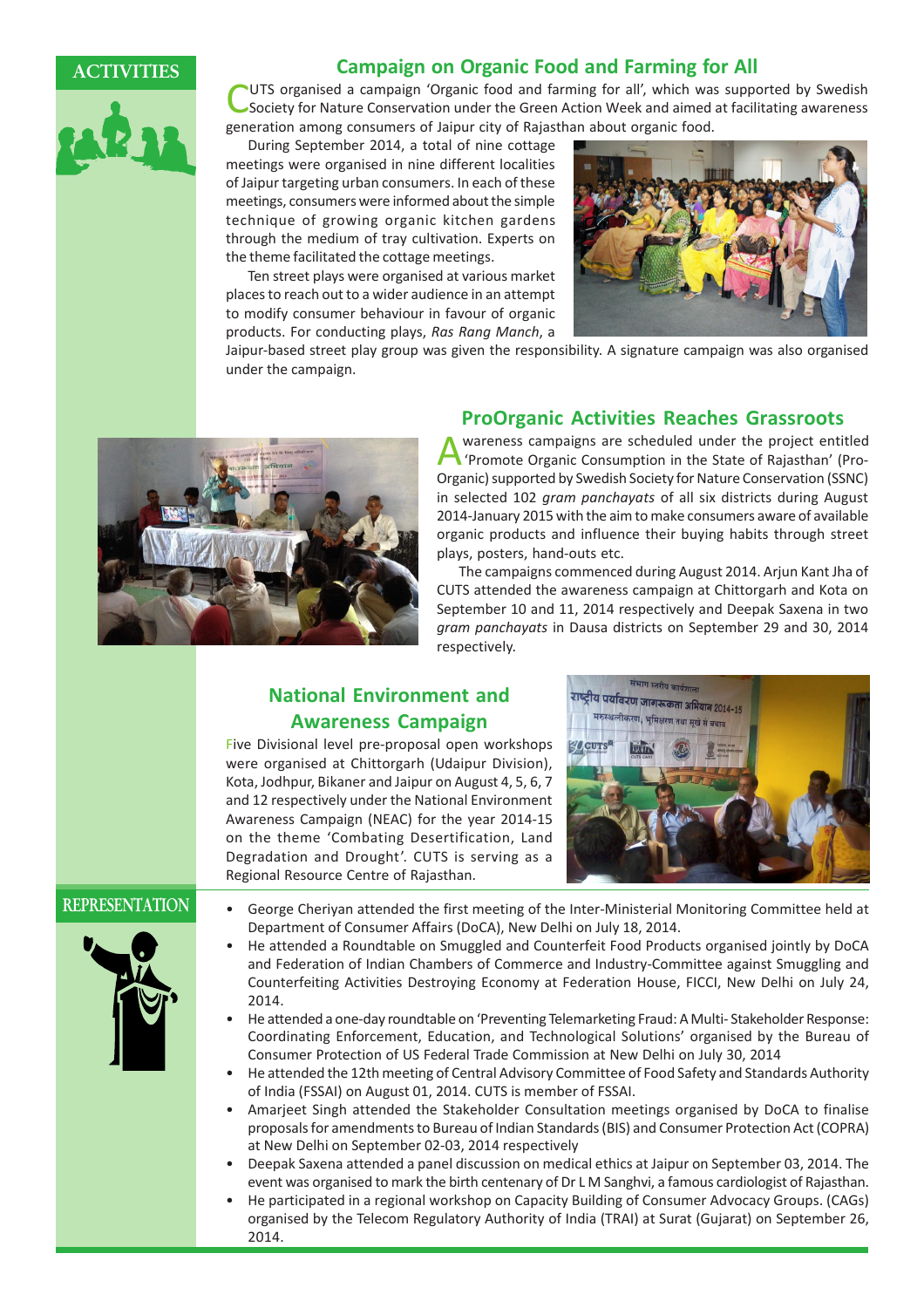

#### ACTIVITIES Campaign on Organic Food and Farming for All

UTS organised a campaign 'Organic food and farming for all', which was supported by Swedish Society for Nature Conservation under the Green Action Week and aimed at facilitating awareness generation among consumers of Jaipur city of Rajasthan about organic food.

During September 2014, a total of nine cottage meetings were organised in nine different localities of Jaipur targeting urban consumers. In each of these meetings, consumers were informed about the simple technique of growing organic kitchen gardens through the medium of tray cultivation. Experts on the theme facilitated the cottage meetings.

Ten street plays were organised at various market places to reach out to a wider audience in an attempt to modify consumer behaviour in favour of organic products. For conducting plays, Ras Rang Manch, a



Jaipur-based street play group was given the responsibility. A signature campaign was also organised under the campaign.



#### ProOrganic Activities Reaches Grassroots

Awareness campaigns are scheduled under the project entitled<br>
Promote Organic Consumption in the State of Rajasthan' (Pro-Organic) supported by Swedish Society for Nature Conservation (SSNC) in selected 102 *gram panchavats* of all six districts during August 2014-January 2015 with the aim to make consumers aware of available organic products and influence their buying habits through street plays, posters, hand-outs etc.

The campaigns commenced during August 2014. Arjun Kant Jha of CUTS attended the awareness campaign at Chittorgarh and Kota on September 10 and 11, 2014 respectively and Deepak Saxena in two gram panchayats in Dausa districts on September 29 and 30, 2014 respectively.

### National Environment and Awareness Campaign

Five Divisional level pre-proposal open workshops were organised at Chittorgarh (Udaipur Division), Kota, Jodhpur, Bikaner and Jaipur on August 4, 5, 6, 7 and 12 respectively under the National Environment Awareness Campaign (NEAC) for the year 2014-15 on the theme 'Combating Desertification, Land Degradation and Drought'. CUTS is serving as a Regional Resource Centre of Rajasthan.





- REPRESENTATION George Cheriyan attended the first meeting of the Inter-Ministerial Monitoring Committee held at Department of Consumer Affairs (DoCA), New Delhi on July 18, 2014.
	- He attended a Roundtable on Smuggled and Counterfeit Food Products organised jointly by DoCA and Federation of Indian Chambers of Commerce and Industry-Committee against Smuggling and Counterfeiting Activities Destroying Economy at Federation House, FICCI, New Delhi on July 24, 2014.
	- He attended a one-day roundtable on 'Preventing Telemarketing Fraud: A Multi- Stakeholder Response: Coordinating Enforcement, Education, and Technological Solutionsí organised by the Bureau of Consumer Protection of US Federal Trade Commission at New Delhi on July 30, 2014
	- He attended the 12th meeting of Central Advisory Committee of Food Safety and Standards Authority of India (FSSAI) on August 01, 2014. CUTS is member of FSSAI.
	- Amarjeet Singh attended the Stakeholder Consultation meetings organised by DoCA to finalise proposals for amendments to Bureau of Indian Standards (BIS) and Consumer Protection Act (COPRA) at New Delhi on September 02-03, 2014 respectively
	- Deepak Saxena attended a panel discussion on medical ethics at Jaipur on September 03, 2014. The event was organised to mark the birth centenary of Dr L M Sanghvi, a famous cardiologist of Rajasthan.
	- He participated in a regional workshop on Capacity Building of Consumer Advocacy Groups. (CAGs) organised by the Telecom Regulatory Authority of India (TRAI) at Surat (Gujarat) on September 26, 2014.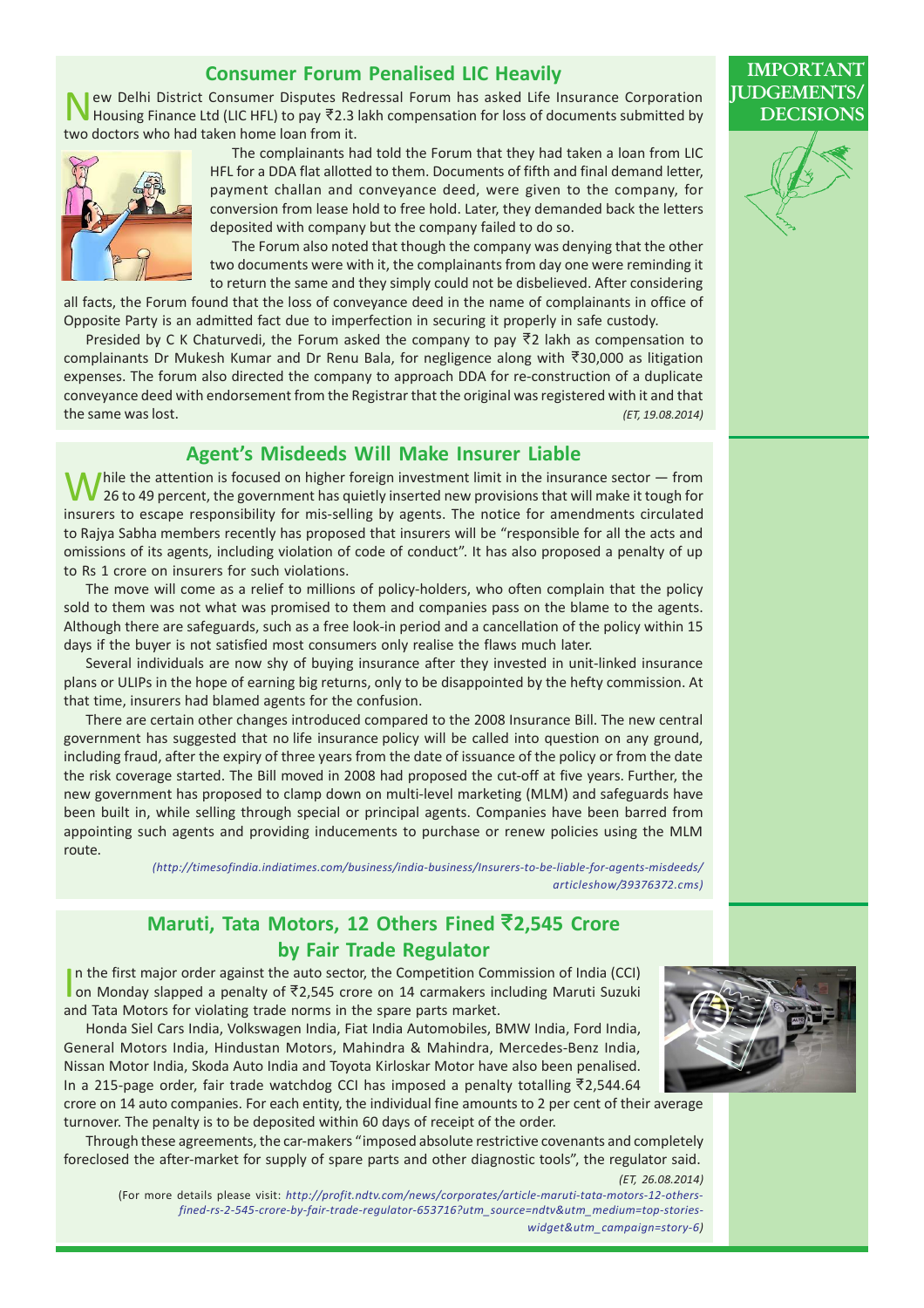#### Consumer Forum Penalised LIC Heavily

ew Delhi District Consumer Disputes Redressal Forum has asked Life Insurance Corporation Housing Finance Ltd (LIC HFL) to pay  $\overline{8}2.3$  lakh compensation for loss of documents submitted by two doctors who had taken home loan from it.



The complainants had told the Forum that they had taken a loan from LIC HFL for a DDA flat allotted to them. Documents of fifth and final demand letter, payment challan and conveyance deed, were given to the company, for conversion from lease hold to free hold. Later, they demanded back the letters deposited with company but the company failed to do so.

The Forum also noted that though the company was denying that the other two documents were with it, the complainants from day one were reminding it to return the same and they simply could not be disbelieved. After considering

all facts, the Forum found that the loss of conveyance deed in the name of complainants in office of Opposite Party is an admitted fact due to imperfection in securing it properly in safe custody.

Presided by C K Chaturvedi, the Forum asked the company to pay  $\overline{z}$  lakh as compensation to complainants Dr Mukesh Kumar and Dr Renu Bala, for negligence along with  $\overline{5}30,000$  as litigation expenses. The forum also directed the company to approach DDA for re-construction of a duplicate conveyance deed with endorsement from the Registrar that the original was registered with it and that the same was lost. (ET, 19.08.2014)

#### Agent's Misdeeds Will Make Insurer Liable

Thile the attention is focused on higher foreign investment limit in the insurance sector  $-$  from 26 to 49 percent, the government has quietly inserted new provisions that will make it tough for insurers to escape responsibility for mis-selling by agents. The notice for amendments circulated to Rajya Sabha members recently has proposed that insurers will be "responsible for all the acts and omissions of its agents, including violation of code of conduct". It has also proposed a penalty of up to Rs 1 crore on insurers for such violations.

The move will come as a relief to millions of policy-holders, who often complain that the policy sold to them was not what was promised to them and companies pass on the blame to the agents. Although there are safeguards, such as a free look-in period and a cancellation of the policy within 15 days if the buyer is not satisfied most consumers only realise the flaws much later.

Several individuals are now shy of buying insurance after they invested in unit-linked insurance plans or ULIPs in the hope of earning big returns, only to be disappointed by the hefty commission. At that time, insurers had blamed agents for the confusion.

There are certain other changes introduced compared to the 2008 Insurance Bill. The new central government has suggested that no life insurance policy will be called into question on any ground, including fraud, after the expiry of three years from the date of issuance of the policy or from the date the risk coverage started. The Bill moved in 2008 had proposed the cut-off at five years. Further, the new government has proposed to clamp down on multi-level marketing (MLM) and safeguards have been built in, while selling through special or principal agents. Companies have been barred from appointing such agents and providing inducements to purchase or renew policies using the MLM route.

> (http://timesofindia.indiatimes.com/business/india-business/Insurers-to-be-liable-for-agents-misdeeds/ articleshow/39376372.cms)

#### Maruti, Tata Motors, 12 Others Fined ₹2,545 Crore by Fair Trade Regulator

I I Have Regulator<br>In the first major order against the auto sector, the Competition Commission of India (CCI)<br>I on Monday slapped a penalty of ₹2.545 crore on 14 carmakers including Maruti Suzuki n the first major order against the auto sector, the Competition Commission of India (CCI) and Tata Motors for violating trade norms in the spare parts market.

Honda Siel Cars India, Volkswagen India, Fiat India Automobiles, BMW India, Ford India, General Motors India, Hindustan Motors, Mahindra & Mahindra, Mercedes-Benz India, Nissan Motor India, Skoda Auto India and Toyota Kirloskar Motor have also been penalised. In a 215-page order, fair trade watchdog CCI has imposed a penalty totalling  $\overline{8}$ 2,544.64

crore on 14 auto companies. For each entity, the individual fine amounts to 2 per cent of their average turnover. The penalty is to be deposited within 60 days of receipt of the order.

Through these agreements, the car-makers "imposed absolute restrictive covenants and completely foreclosed the after-market for supply of spare parts and other diagnostic tools", the regulator said. (ET, 26.08.2014)

(For more details please visit: http://profit.ndtv.com/news/corporates/article-maruti-tata-motors-12-othersfined-rs-2-545-crore-by-fair-trade-regulator-653716?utm\_source=ndtv&utm\_medium=top-storieswidget&utm\_campaign=story-6)



#### **IMPORTAI JUDGEME** DECISIO